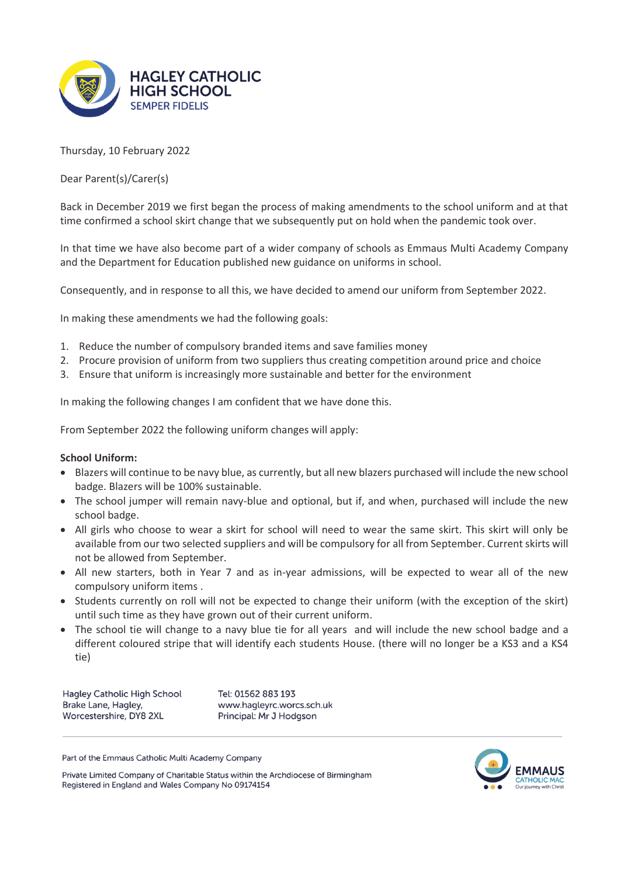

Thursday, 10 February 2022

Dear Parent(s)/Carer(s)

Back in December 2019 we first began the process of making amendments to the school uniform and at that time confirmed a school skirt change that we subsequently put on hold when the pandemic took over.

In that time we have also become part of a wider company of schools as Emmaus Multi Academy Company and the Department for Education published new guidance on uniforms in school.

Consequently, and in response to all this, we have decided to amend our uniform from September 2022.

In making these amendments we had the following goals:

- 1. Reduce the number of compulsory branded items and save families money
- 2. Procure provision of uniform from two suppliers thus creating competition around price and choice
- 3. Ensure that uniform is increasingly more sustainable and better for the environment

In making the following changes I am confident that we have done this.

From September 2022 the following uniform changes will apply:

## **School Uniform:**

- Blazers will continue to be navy blue, as currently, but all new blazers purchased will include the new school badge. Blazers will be 100% sustainable.
- The school jumper will remain navy-blue and optional, but if, and when, purchased will include the new school badge.
- All girls who choose to wear a skirt for school will need to wear the same skirt. This skirt will only be available from our two selected suppliers and will be compulsory for all from September. Current skirts will not be allowed from September.
- All new starters, both in Year 7 and as in-year admissions, will be expected to wear all of the new compulsory uniform items .
- Students currently on roll will not be expected to change their uniform (with the exception of the skirt) until such time as they have grown out of their current uniform.
- The school tie will change to a navy blue tie for all years and will include the new school badge and a different coloured stripe that will identify each students House. (there will no longer be a KS3 and a KS4 tie)

Hagley Catholic High School Brake Lane, Hagley, Worcestershire, DY8 2XL

Tel: 01562 883 193 www.hagleyrc.worcs.sch.uk Principal: Mr J Hodgson

Part of the Emmaus Catholic Multi Academy Company



Private Limited Company of Charitable Status within the Archdiocese of Birmingham Registered in England and Wales Company No 09174154